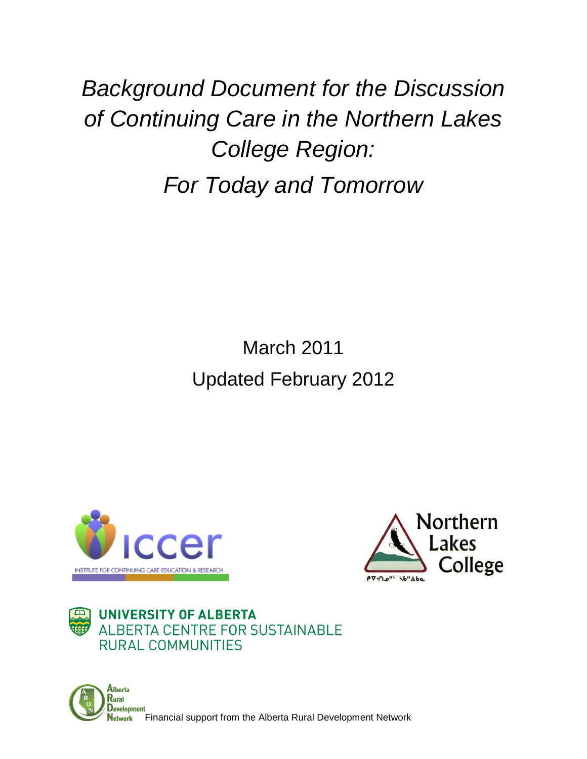# *Background Document for the Discussion of Continuing Care in the Northern Lakes College Region: For Today and Tomorrow*

March 2011 Updated February 2012







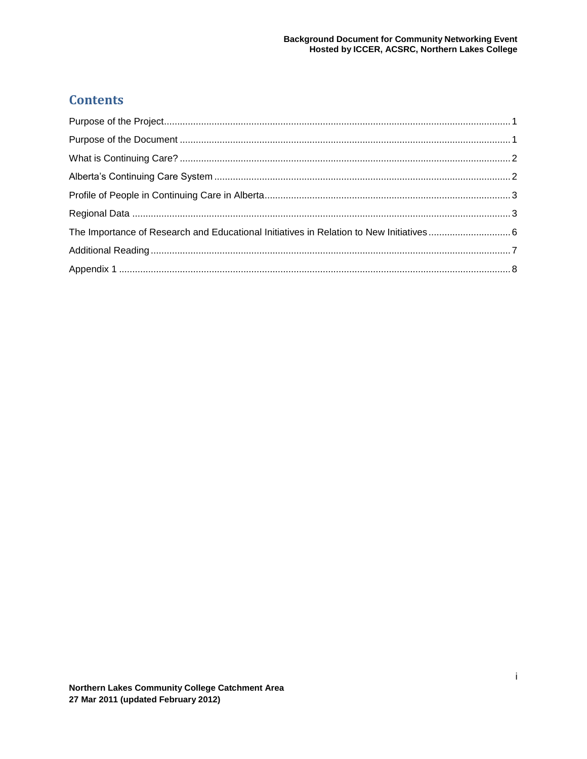#### **Contents**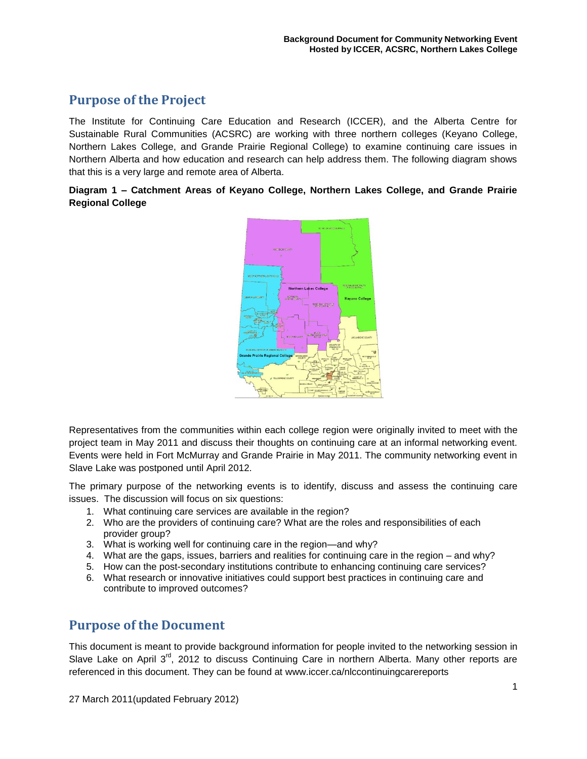#### <span id="page-2-0"></span>**Purpose of the Project**

The Institute for Continuing Care Education and Research (ICCER), and the Alberta Centre for Sustainable Rural Communities (ACSRC) are working with three northern colleges (Keyano College, Northern Lakes College, and Grande Prairie Regional College) to examine continuing care issues in Northern Alberta and how education and research can help address them. The following diagram shows that this is a very large and remote area of Alberta.

#### **Diagram 1 – Catchment Areas of Keyano College, Northern Lakes College, and Grande Prairie Regional College**



Representatives from the communities within each college region were originally invited to meet with the project team in May 2011 and discuss their thoughts on continuing care at an informal networking event. Events were held in Fort McMurray and Grande Prairie in May 2011. The community networking event in Slave Lake was postponed until April 2012.

The primary purpose of the networking events is to identify, discuss and assess the continuing care issues. The discussion will focus on six questions:

- 1. What continuing care services are available in the region?
- 2. Who are the providers of continuing care? What are the roles and responsibilities of each provider group?
- 3. What is working well for continuing care in the region—and why?
- 4. What are the gaps, issues, barriers and realities for continuing care in the region and why?
- 5. How can the post-secondary institutions contribute to enhancing continuing care services?
- 6. What research or innovative initiatives could support best practices in continuing care and contribute to improved outcomes?

#### <span id="page-2-1"></span>**Purpose of the Document**

This document is meant to provide background information for people invited to the networking session in Slave Lake on April  $3<sup>rd</sup>$ , 2012 to discuss Continuing Care in northern Alberta. Many other reports are referenced in this document. They can be found at [www.iccer.ca/nlccontinuingcarereports](http://www.iccer.ca/nlccontinuingcarereports)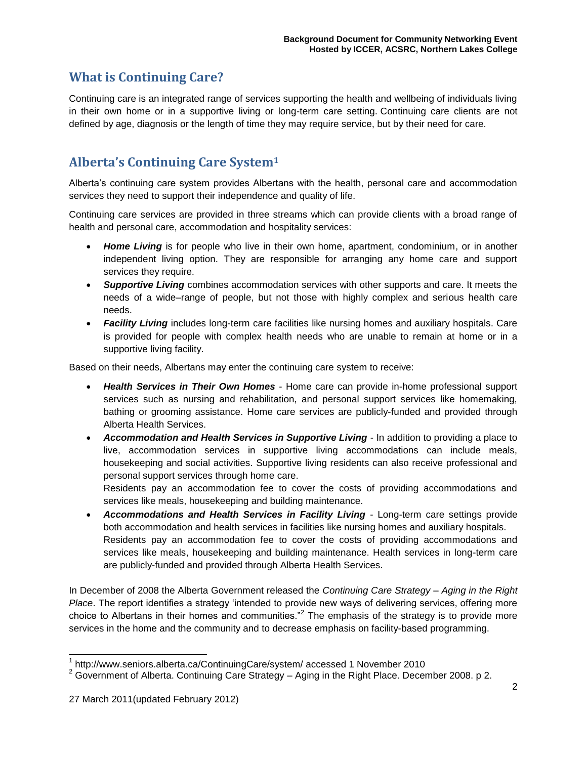## <span id="page-3-0"></span>**What is Continuing Care?**

Continuing care is an integrated range of services supporting the health and wellbeing of individuals living in their own home or in a supportive living or long-term care setting. Continuing care clients are not defined by age, diagnosis or the length of time they may require service, but by their need for care.

## <span id="page-3-1"></span>**Alberta's Continuing Care System<sup>1</sup>**

Alberta's continuing care system provides Albertans with the health, personal care and accommodation services they need to support their independence and quality of life.

Continuing care services are provided in three streams which can provide clients with a broad range of health and personal care, accommodation and hospitality services:

- *[Home Living](http://www.seniors.alberta.ca/ContinuingCare/system/#homecare)* is for people who live in their own home, apartment, condominium, or in another independent living option. They are responsible for arranging any home care and support services they require.
- *[Supportive Living](http://www.seniors.alberta.ca/ContinuingCare/system/#accommodation)* combines accommodation services with other supports and care. It meets the needs of a wide–range of people, but not those with highly complex and serious health care needs.
- *[Facility Living](http://www.seniors.alberta.ca/ContinuingCare/system/#healthservices)* includes long-term care facilities like nursing homes and auxiliary hospitals. Care is provided for people with complex health needs who are unable to remain at home or in a supportive living facility.

Based on their needs, Albertans may enter the continuing care system to receive:

- *Health Services in Their Own Homes* Home care can provide in-home professional support services such as nursing and rehabilitation, and personal support services like homemaking, bathing or grooming assistance. Home care services are publicly-funded and provided through Alberta Health Services.
- *Accommodation and Health Services in Supportive Living* In addition to providing a place to live, accommodation services in supportive living accommodations can include meals, housekeeping and social activities. Supportive living residents can also receive professional and personal support services through home care.

Residents pay an accommodation fee to cover the costs of providing accommodations and services like meals, housekeeping and building maintenance.

 *Accommodations and Health Services in Facility Living* - Long-term care settings provide both accommodation and health services in facilities like nursing homes and auxiliary hospitals. Residents pay an [accommodation fee](http://www.seniors.alberta.ca/ContinuingCare/LTCare.asp) to cover the costs of providing accommodations and services like meals, housekeeping and building maintenance. Health services in long-term care are publicly-funded and provided through Alberta Health Services.

In December of 2008 the Alberta Government released the *Continuing Care Strategy – Aging in the Right Place*. The report identifies a strategy 'intended to provide new ways of delivering services, offering more choice to Albertans in their homes and communities."<sup>2</sup> The emphasis of the strategy is to provide more services in the home and the community and to decrease emphasis on facility-based programming.

j

<sup>&</sup>lt;sup>1</sup> http://www.seniors.alberta.ca/ContinuingCare/system/ accessed 1 November 2010

 $2$  Government of Alberta. Continuing Care Strategy – Aging in the Right Place. December 2008. p 2.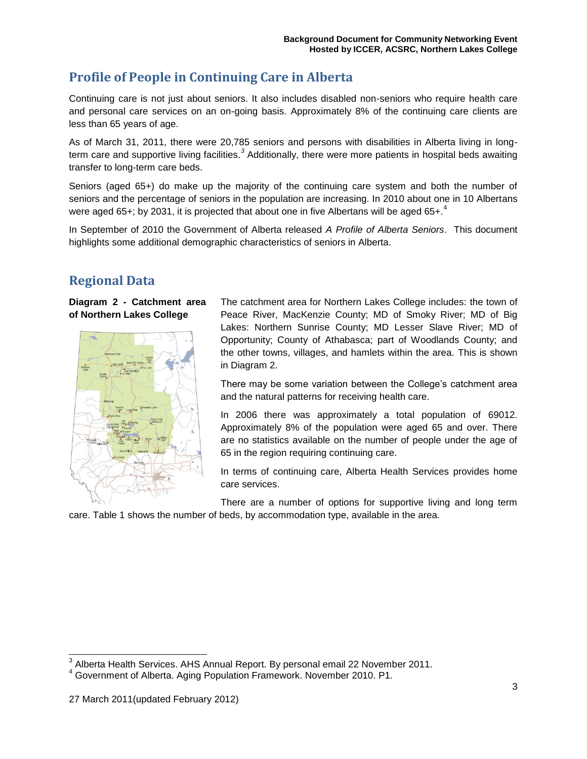## <span id="page-4-0"></span>**Profile of People in Continuing Care in Alberta**

Continuing care is not just about seniors. It also includes disabled non-seniors who require health care and personal care services on an on-going basis. Approximately 8% of the continuing care clients are less than 65 years of age.

As of March 31, 2011, there were 20,785 seniors and persons with disabilities in Alberta living in longterm care and supportive living facilities.<sup>3</sup> Additionally, there were more patients in hospital beds awaiting transfer to long-term care beds.

Seniors (aged 65+) do make up the majority of the continuing care system and both the number of seniors and the percentage of seniors in the population are increasing. In 2010 about one in 10 Albertans were aged 65+; by 2031, it is projected that about one in five Albertans will be aged  $65+$ .<sup>4</sup>

In September of 2010 the Government of Alberta released *A Profile of Alberta Seniors*. This document highlights some additional demographic characteristics of seniors in Alberta.

#### <span id="page-4-1"></span>**Regional Data**

**Diagram 2 - Catchment area of Northern Lakes College**



The catchment area for Northern Lakes College includes: the town of Peace River, MacKenzie County; MD of Smoky River; MD of Big Lakes: Northern Sunrise County; MD Lesser Slave River; MD of Opportunity; County of Athabasca; part of Woodlands County; and the other towns, villages, and hamlets within the area. This is shown in Diagram 2.

There may be some variation between the College's catchment area and the natural patterns for receiving health care.

In 2006 there was approximately a total population of 69012. Approximately 8% of the population were aged 65 and over. There are no statistics available on the number of people under the age of 65 in the region requiring continuing care.

In terms of continuing care, Alberta Health Services provides home care services.

There are a number of options for supportive living and long term care. Table 1 shows the number of beds, by accommodation type, available in the area.

 $\overline{\phantom{a}}$ 

 $^3$  Alberta Health Services. AHS Annual Report. By personal email 22 November 2011.

<sup>4</sup> Government of Alberta. Aging Population Framework. November 2010. P1.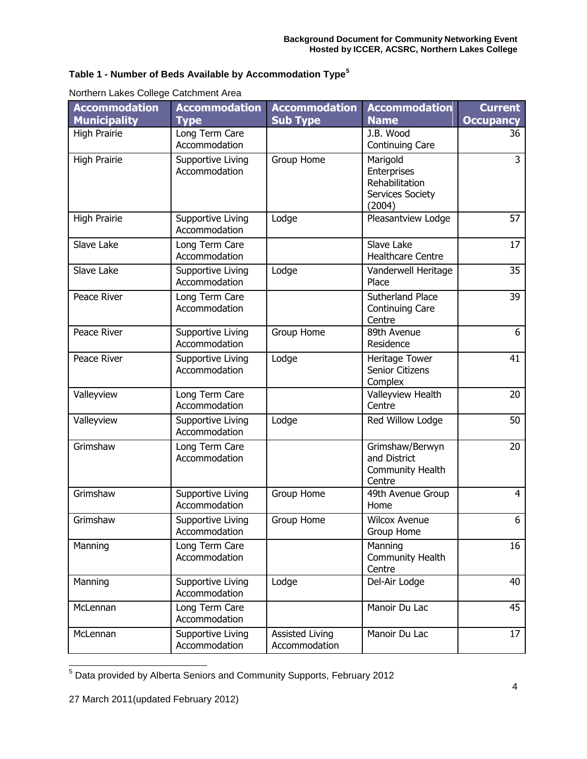#### **Table 1 - Number of Beds Available by Accommodation Type<sup>5</sup>**

| <b>Accommodation</b> | <b>Accommodation</b>               | <b>Accommodation</b>             | <b>Accommodation</b>                                                    | <b>Current</b>   |
|----------------------|------------------------------------|----------------------------------|-------------------------------------------------------------------------|------------------|
| <b>Municipality</b>  | <b>Type</b>                        | <b>Sub Type</b>                  | <b>Name</b>                                                             | <b>Occupancy</b> |
| <b>High Prairie</b>  | Long Term Care<br>Accommodation    |                                  | J.B. Wood<br>Continuing Care                                            | 36               |
| <b>High Prairie</b>  | Supportive Living<br>Accommodation | Group Home                       | Marigold<br>Enterprises<br>Rehabilitation<br>Services Society<br>(2004) | 3                |
| <b>High Prairie</b>  | Supportive Living<br>Accommodation | Lodge                            | Pleasantview Lodge                                                      | 57               |
| Slave Lake           | Long Term Care<br>Accommodation    |                                  | Slave Lake<br><b>Healthcare Centre</b>                                  | 17               |
| Slave Lake           | Supportive Living<br>Accommodation | Lodge                            | Vanderwell Heritage<br>Place                                            | 35               |
| Peace River          | Long Term Care<br>Accommodation    |                                  | Sutherland Place<br>Continuing Care<br>Centre                           | 39               |
| Peace River          | Supportive Living<br>Accommodation | Group Home                       | 89th Avenue<br>Residence                                                | 6                |
| Peace River          | Supportive Living<br>Accommodation | Lodge                            | Heritage Tower<br>Senior Citizens<br>Complex                            | 41               |
| Valleyview           | Long Term Care<br>Accommodation    |                                  | Valleyview Health<br>Centre                                             | 20               |
| Valleyview           | Supportive Living<br>Accommodation | Lodge                            | Red Willow Lodge                                                        | 50               |
| Grimshaw             | Long Term Care<br>Accommodation    |                                  | Grimshaw/Berwyn<br>and District<br>Community Health<br>Centre           | 20               |
| Grimshaw             | Supportive Living<br>Accommodation | Group Home                       | 49th Avenue Group<br>Home                                               | $\overline{4}$   |
| Grimshaw             | Supportive Living<br>Accommodation | Group Home                       | <b>Wilcox Avenue</b><br>Group Home                                      | 6                |
| Manning              | Long Term Care<br>Accommodation    |                                  | Manning<br><b>Community Health</b><br>Centre                            | 16               |
| Manning              | Supportive Living<br>Accommodation | Lodge                            | Del-Air Lodge                                                           | 40               |
| McLennan             | Long Term Care<br>Accommodation    |                                  | Manoir Du Lac                                                           | 45               |
| McLennan             | Supportive Living<br>Accommodation | Assisted Living<br>Accommodation | Manoir Du Lac                                                           | 17               |

Northern Lakes College Catchment Area

l  $<sup>5</sup>$  Data provided by Alberta Seniors and Community Supports, February 2012</sup>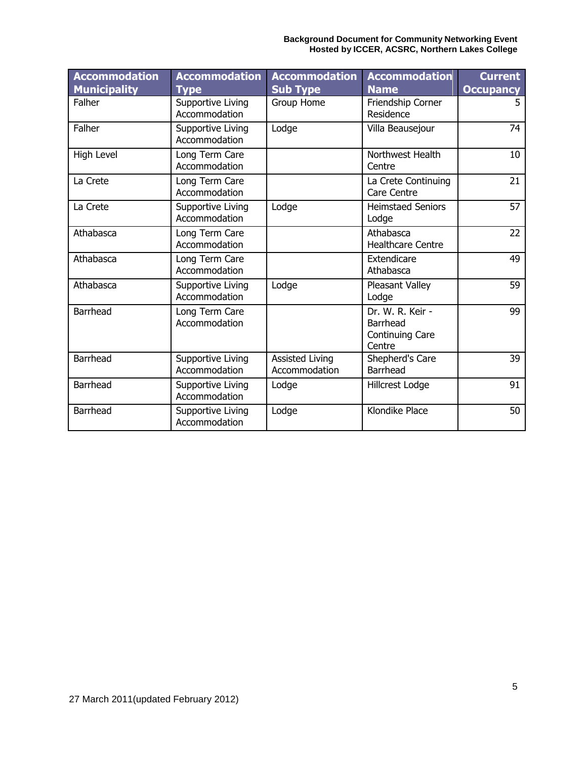| <b>Accommodation</b><br><b>Municipality</b> | <b>Accommodation</b><br><b>Type</b> | <b>Accommodation</b><br><b>Sub Type</b> | <b>Accommodation</b><br><b>Name</b>                              | <b>Current</b><br><b>Occupancy</b> |
|---------------------------------------------|-------------------------------------|-----------------------------------------|------------------------------------------------------------------|------------------------------------|
| Falher                                      | Supportive Living<br>Accommodation  | Group Home                              | Friendship Corner<br>Residence                                   | 5                                  |
| Falher                                      | Supportive Living<br>Accommodation  | Lodge                                   | Villa Beausejour                                                 | 74                                 |
| <b>High Level</b>                           | Long Term Care<br>Accommodation     |                                         | Northwest Health<br>Centre                                       | 10                                 |
| La Crete                                    | Long Term Care<br>Accommodation     |                                         | La Crete Continuing<br>Care Centre                               | 21                                 |
| La Crete                                    | Supportive Living<br>Accommodation  | Lodge                                   | <b>Heimstaed Seniors</b><br>Lodge                                | 57                                 |
| Athabasca                                   | Long Term Care<br>Accommodation     |                                         | Athabasca<br><b>Healthcare Centre</b>                            | 22                                 |
| Athabasca                                   | Long Term Care<br>Accommodation     |                                         | Extendicare<br>Athabasca                                         | 49                                 |
| Athabasca                                   | Supportive Living<br>Accommodation  | Lodge                                   | Pleasant Valley<br>Lodge                                         | 59                                 |
| <b>Barrhead</b>                             | Long Term Care<br>Accommodation     |                                         | Dr. W. R. Keir -<br><b>Barrhead</b><br>Continuing Care<br>Centre | 99                                 |
| <b>Barrhead</b>                             | Supportive Living<br>Accommodation  | <b>Assisted Living</b><br>Accommodation | Shepherd's Care<br><b>Barrhead</b>                               | 39                                 |
| <b>Barrhead</b>                             | Supportive Living<br>Accommodation  | Lodge                                   | Hillcrest Lodge                                                  | 91                                 |
| Barrhead                                    | Supportive Living<br>Accommodation  | Lodge                                   | Klondike Place                                                   | 50                                 |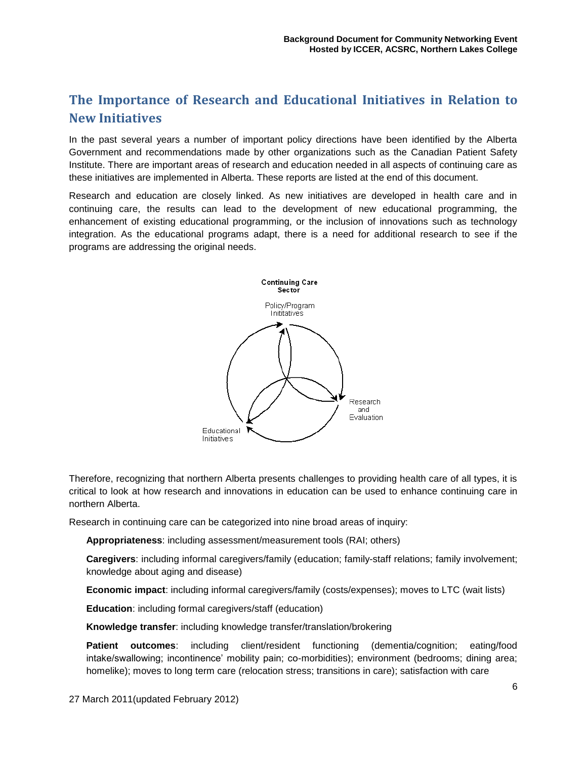## <span id="page-7-0"></span>**The Importance of Research and Educational Initiatives in Relation to New Initiatives**

In the past several years a number of important policy directions have been identified by the Alberta Government and recommendations made by other organizations such as the Canadian Patient Safety Institute. There are important areas of research and education needed in all aspects of continuing care as these initiatives are implemented in Alberta. These reports are listed at the end of this document.

Research and education are closely linked. As new initiatives are developed in health care and in continuing care, the results can lead to the development of new educational programming, the enhancement of existing educational programming, or the inclusion of innovations such as technology integration. As the educational programs adapt, there is a need for additional research to see if the programs are addressing the original needs.



Therefore, recognizing that northern Alberta presents challenges to providing health care of all types, it is critical to look at how research and innovations in education can be used to enhance continuing care in northern Alberta.

Research in continuing care can be categorized into nine broad areas of inquiry:

**Appropriateness**: including assessment/measurement tools (RAI; others)

**Caregivers**: including informal caregivers/family (education; family-staff relations; family involvement; knowledge about aging and disease)

**Economic impact**: including informal caregivers/family (costs/expenses); moves to LTC (wait lists)

**Education**: including formal caregivers/staff (education)

**Knowledge transfer**: including knowledge transfer/translation/brokering

**Patient outcomes**: including client/resident functioning (dementia/cognition; eating/food intake/swallowing; incontinence' mobility pain; co-morbidities); environment (bedrooms; dining area; homelike); moves to long term care (relocation stress; transitions in care); satisfaction with care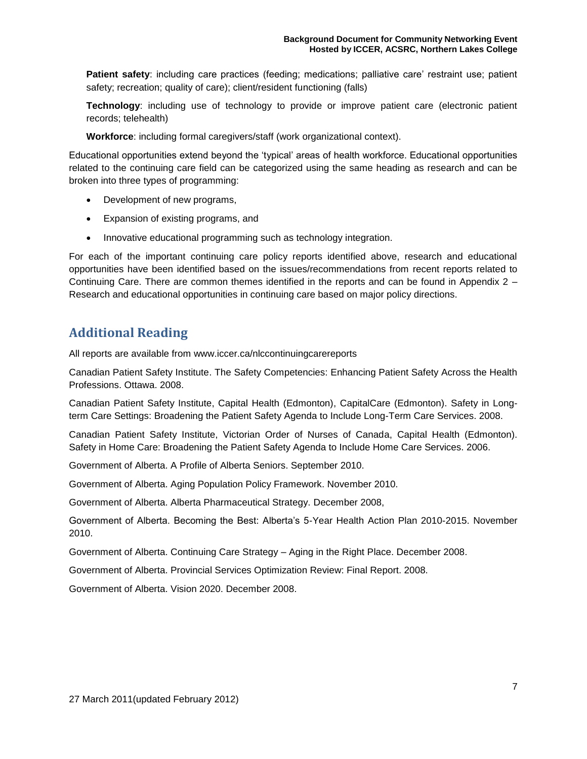**Patient safety**: including care practices (feeding; medications; palliative care' restraint use; patient safety; recreation; quality of care); client/resident functioning (falls)

**Technology**: including use of technology to provide or improve patient care (electronic patient records; telehealth)

**Workforce**: including formal caregivers/staff (work organizational context).

Educational opportunities extend beyond the 'typical' areas of health workforce. Educational opportunities related to the continuing care field can be categorized using the same heading as research and can be broken into three types of programming:

- Development of new programs,
- Expansion of existing programs, and
- Innovative educational programming such as technology integration.

For each of the important continuing care policy reports identified above, research and educational opportunities have been identified based on the issues/recommendations from recent reports related to Continuing Care. There are common themes identified in the reports and can be found in Appendix 2 – Research and educational opportunities in continuing care based on major policy directions.

#### <span id="page-8-0"></span>**Additional Reading**

All reports are available from [www.iccer.ca/nlccontinuingcarereports](http://www.iccer.ca/nlccontinuingcarereports)

Canadian Patient Safety Institute. The Safety Competencies: Enhancing Patient Safety Across the Health Professions. Ottawa. 2008.

Canadian Patient Safety Institute, Capital Health (Edmonton), CapitalCare (Edmonton). Safety in Longterm Care Settings: Broadening the Patient Safety Agenda to Include Long-Term Care Services. 2008.

Canadian Patient Safety Institute, Victorian Order of Nurses of Canada, Capital Health (Edmonton). Safety in Home Care: Broadening the Patient Safety Agenda to Include Home Care Services. 2006.

Government of Alberta. A Profile of Alberta Seniors. September 2010.

Government of Alberta. Aging Population Policy Framework. November 2010.

Government of Alberta. Alberta Pharmaceutical Strategy. December 2008,

Government of Alberta. Becoming the Best: Alberta's 5-Year Health Action Plan 2010-2015. November 2010.

Government of Alberta. Continuing Care Strategy – Aging in the Right Place. December 2008.

Government of Alberta. Provincial Services Optimization Review: Final Report. 2008.

Government of Alberta. Vision 2020. December 2008.